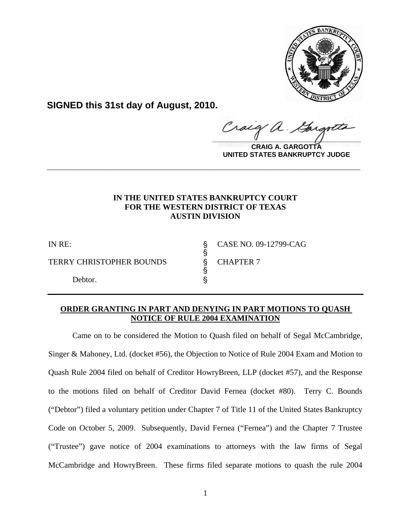

**SIGNED this 31st day of August, 2010.**

raig  $\frac{1}{2}$ 

**CRAIG A. GARGOTTA UNITED STATES BANKRUPTCY JUDGE**

# **IN THE UNITED STATES BANKRUPTCY COURT FOR THE WESTERN DISTRICT OF TEXAS AUSTIN DIVISION**

**\_\_\_\_\_\_\_\_\_\_\_\_\_\_\_\_\_\_\_\_\_\_\_\_\_\_\_\_\_\_\_\_\_\_\_\_\_\_\_\_\_\_\_\_\_\_\_\_\_\_\_\_\_\_\_\_\_\_\_\_**

**့**<br>လက်

TERRY CHRISTOPHER BOUNDS \$ CHAPTER 7

en andere de la provincia de la provincia de la provincia de la provincia de la provincia de la provincia de l

Debtor.

IN RE: \$ CASE NO. 09-12799-CAG

## **ORDER GRANTING IN PART AND DENYING IN PART MOTIONS TO QUASH NOTICE OF RULE 2004 EXAMINATION**

Came on to be considered the Motion to Quash filed on behalf of Segal McCambridge, Singer & Mahoney, Ltd. (docket #56), the Objection to Notice of Rule 2004 Exam and Motion to Quash Rule 2004 filed on behalf of Creditor HowryBreen, LLP (docket #57), and the Response to the motions filed on behalf of Creditor David Fernea (docket #80). Terry C. Bounds ("Debtor") filed a voluntary petition under Chapter 7 of Title 11 of the United States Bankruptcy Code on October 5, 2009. Subsequently, David Fernea ("Fernea") and the Chapter 7 Trustee ("Trustee") gave notice of 2004 examinations to attorneys with the law firms of Segal McCambridge and HowryBreen. These firms filed separate motions to quash the rule 2004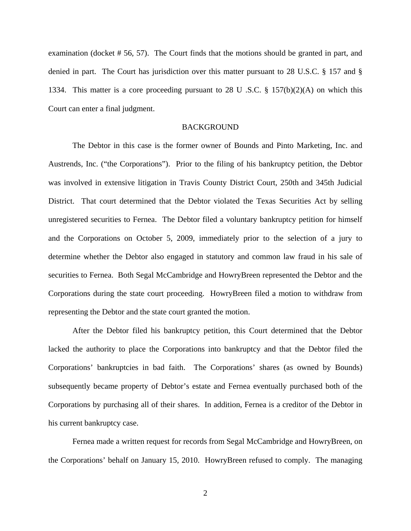examination (docket # 56, 57). The Court finds that the motions should be granted in part, and denied in part. The Court has jurisdiction over this matter pursuant to 28 U.S.C. § 157 and § 1334. This matter is a core proceeding pursuant to 28 U .S.C. § 157(b)(2)(A) on which this Court can enter a final judgment.

### BACKGROUND

The Debtor in this case is the former owner of Bounds and Pinto Marketing, Inc. and Austrends, Inc. ("the Corporations"). Prior to the filing of his bankruptcy petition, the Debtor was involved in extensive litigation in Travis County District Court, 250th and 345th Judicial District. That court determined that the Debtor violated the Texas Securities Act by selling unregistered securities to Fernea. The Debtor filed a voluntary bankruptcy petition for himself and the Corporations on October 5, 2009, immediately prior to the selection of a jury to determine whether the Debtor also engaged in statutory and common law fraud in his sale of securities to Fernea. Both Segal McCambridge and HowryBreen represented the Debtor and the Corporations during the state court proceeding. HowryBreen filed a motion to withdraw from representing the Debtor and the state court granted the motion.

After the Debtor filed his bankruptcy petition, this Court determined that the Debtor lacked the authority to place the Corporations into bankruptcy and that the Debtor filed the Corporations' bankruptcies in bad faith. The Corporations' shares (as owned by Bounds) subsequently became property of Debtor's estate and Fernea eventually purchased both of the Corporations by purchasing all of their shares. In addition, Fernea is a creditor of the Debtor in his current bankruptcy case.

 Fernea made a written request for records from Segal McCambridge and HowryBreen, on the Corporations' behalf on January 15, 2010. HowryBreen refused to comply. The managing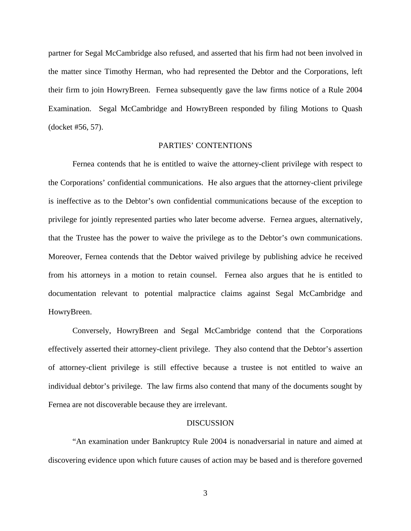partner for Segal McCambridge also refused, and asserted that his firm had not been involved in the matter since Timothy Herman, who had represented the Debtor and the Corporations, left their firm to join HowryBreen. Fernea subsequently gave the law firms notice of a Rule 2004 Examination. Segal McCambridge and HowryBreen responded by filing Motions to Quash (docket #56, 57).

## PARTIES' CONTENTIONS

Fernea contends that he is entitled to waive the attorney-client privilege with respect to the Corporations' confidential communications. He also argues that the attorney-client privilege is ineffective as to the Debtor's own confidential communications because of the exception to privilege for jointly represented parties who later become adverse. Fernea argues, alternatively, that the Trustee has the power to waive the privilege as to the Debtor's own communications. Moreover, Fernea contends that the Debtor waived privilege by publishing advice he received from his attorneys in a motion to retain counsel. Fernea also argues that he is entitled to documentation relevant to potential malpractice claims against Segal McCambridge and HowryBreen.

Conversely, HowryBreen and Segal McCambridge contend that the Corporations effectively asserted their attorney-client privilege. They also contend that the Debtor's assertion of attorney-client privilege is still effective because a trustee is not entitled to waive an individual debtor's privilege. The law firms also contend that many of the documents sought by Fernea are not discoverable because they are irrelevant.

#### DISCUSSION

"An examination under Bankruptcy Rule 2004 is nonadversarial in nature and aimed at discovering evidence upon which future causes of action may be based and is therefore governed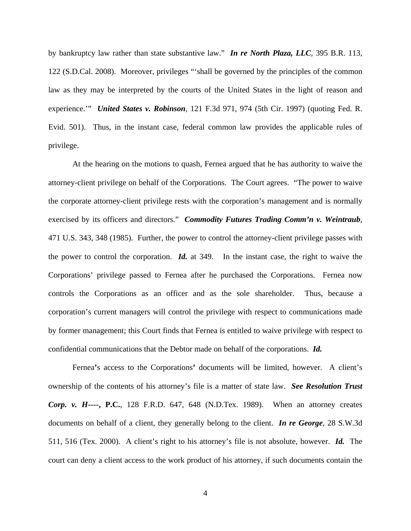by bankruptcy law rather than state substantive law." *In re North Plaza, LLC,* 395 B.R. 113, 122 (S.D.Cal. 2008). Moreover, privileges "'shall be governed by the principles of the common law as they may be interpreted by the courts of the United States in the light of reason and experience.'" *United States v. Robinson*, 121 F.3d 971, 974 (5th Cir. 1997) (quoting Fed. R. Evid. 501). Thus, in the instant case, federal common law provides the applicable rules of privilege.

At the hearing on the motions to quash, Fernea argued that he has authority to waive the attorney-client privilege on behalf of the Corporations. The Court agrees. "The power to waive the corporate attorney-client privilege rests with the corporation's management and is normally exercised by its officers and directors." *Commodity Futures Trading Comm'n v. Weintraub*, 471 U.S. 343, 348 (1985). Further, the power to control the attorney-client privilege passes with the power to control the corporation. *Id.* at 349. In the instant case, the right to waive the Corporations' privilege passed to Fernea after he purchased the Corporations. Fernea now controls the Corporations as an officer and as the sole shareholder. Thus, because a corporation's current managers will control the privilege with respect to communications made by former management; this Court finds that Fernea is entitled to waive privilege with respect to confidential communications that the Debtor made on behalf of the corporations. *Id.*

Fernea**'**s access to the Corporations**'** documents will be limited, however. A client's ownership of the contents of his attorney's file is a matter of state law. *See Resolution Trust Corp. v. H----***, P.C.**, 128 F.R.D. 647, 648 (N.D.Tex. 1989). When an attorney creates documents on behalf of a client, they generally belong to the client. *In re George*, 28 S.W.3d 511, 516 (Tex. 2000). A client's right to his attorney's file is not absolute, however. *Id.* The court can deny a client access to the work product of his attorney, if such documents contain the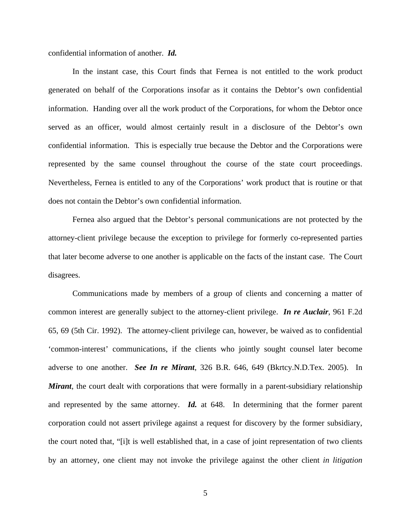confidential information of another. *Id.* 

In the instant case, this Court finds that Fernea is not entitled to the work product generated on behalf of the Corporations insofar as it contains the Debtor's own confidential information. Handing over all the work product of the Corporations, for whom the Debtor once served as an officer, would almost certainly result in a disclosure of the Debtor's own confidential information. This is especially true because the Debtor and the Corporations were represented by the same counsel throughout the course of the state court proceedings. Nevertheless, Fernea is entitled to any of the Corporations' work product that is routine or that does not contain the Debtor's own confidential information.

Fernea also argued that the Debtor's personal communications are not protected by the attorney-client privilege because the exception to privilege for formerly co-represented parties that later become adverse to one another is applicable on the facts of the instant case. The Court disagrees.

Communications made by members of a group of clients and concerning a matter of common interest are generally subject to the attorney-client privilege. *In re Auclair*, 961 F.2d 65, 69 (5th Cir. 1992). The attorney-client privilege can, however, be waived as to confidential 'common-interest' communications, if the clients who jointly sought counsel later become adverse to one another. *See In re Mirant*, 326 B.R. 646, 649 (Bkrtcy.N.D.Tex. 2005). In *Mirant*, the court dealt with corporations that were formally in a parent-subsidiary relationship and represented by the same attorney. *Id.* at 648. In determining that the former parent corporation could not assert privilege against a request for discovery by the former subsidiary, the court noted that, "[i]t is well established that, in a case of joint representation of two clients by an attorney, one client may not invoke the privilege against the other client *in litigation*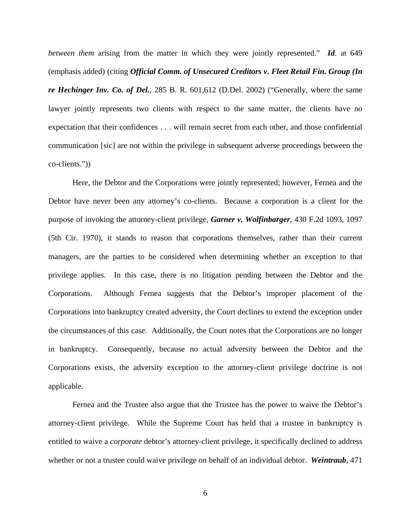*between them* arising from the matter in which they were jointly represented." *Id*. at 649 (emphasis added) (citing *Official Comm. of Unsecured Creditors v. Fleet Retail Fin. Group (In re Hechinger Inv. Co. of Del.*, 285 B. R. 601,612 (D.Del. 2002) ("Generally, where the same lawyer jointly represents two clients with respect to the same matter, the clients have no expectation that their confidences . . . will remain secret from each other, and those confidential communication [sic] are not within the privilege in subsequent adverse proceedings between the co-clients."))

Here, the Debtor and the Corporations were jointly represented; however, Fernea and the Debtor have never been any attorney's co-clients. Because a corporation is a client for the purpose of invoking the attorney-client privilege, *Garner v. Wolfinbarger*, 430 F.2d 1093, 1097 (5th Cir. 1970), it stands to reason that corporations themselves, rather than their current managers, are the parties to be considered when determining whether an exception to that privilege applies. In this case, there is no litigation pending between the Debtor and the Corporations. Although Fernea suggests that the Debtor's improper placement of the Corporations into bankruptcy created adversity, the Court declines to extend the exception under the circumstances of this case. Additionally, the Court notes that the Corporations are no longer in bankruptcy. Consequently, because no actual adversity between the Debtor and the Corporations exists, the adversity exception to the attorney-client privilege doctrine is not applicable.

Fernea and the Trustee also argue that the Trustee has the power to waive the Debtor's attorney-client privilege.While the Supreme Court has held that a trustee in bankruptcy is entitled to waive a *corporate* debtor's attorney-client privilege, it specifically declined to address whether or not a trustee could waive privilege on behalf of an individual debtor. *Weintraub*, 471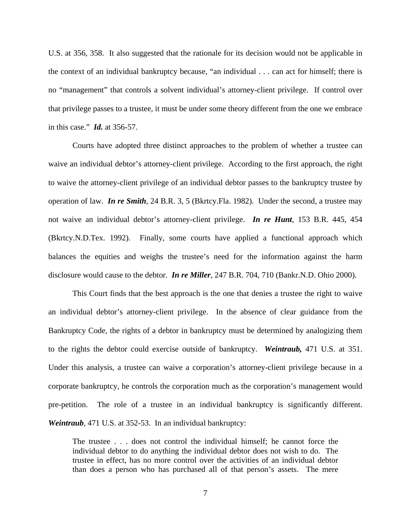U.S. at 356, 358. It also suggested that the rationale for its decision would not be applicable in the context of an individual bankruptcy because, "an individual . . . can act for himself; there is no "management" that controls a solvent individual's attorney-client privilege. If control over that privilege passes to a trustee, it must be under some theory different from the one we embrace in this case." *Id.* at 356-57.

Courts have adopted three distinct approaches to the problem of whether a trustee can waive an individual debtor's attorney-client privilege. According to the first approach, the right to waive the attorney-client privilege of an individual debtor passes to the bankruptcy trustee by operation of law. *In re Smith,* 24 B.R. 3, 5 (Bkrtcy.Fla. 1982). Under the second, a trustee may not waive an individual debtor's attorney-client privilege. *In re Hunt*, 153 B.R. 445, 454 (Bkrtcy.N.D.Tex. 1992). Finally, some courts have applied a functional approach which balances the equities and weighs the trustee's need for the information against the harm disclosure would cause to the debtor. *In re Miller*, 247 B.R. 704, 710 (Bankr.N.D. Ohio 2000).

This Court finds that the best approach is the one that denies a trustee the right to waive an individual debtor's attorney-client privilege. In the absence of clear guidance from the Bankruptcy Code, the rights of a debtor in bankruptcy must be determined by analogizing them to the rights the debtor could exercise outside of bankruptcy. *Weintraub,* 471 U.S. at 351. Under this analysis, a trustee can waive a corporation's attorney-client privilege because in a corporate bankruptcy, he controls the corporation much as the corporation's management would pre-petition. The role of a trustee in an individual bankruptcy is significantly different. *Weintraub*, 471 U.S. at 352-53. In an individual bankruptcy:

The trustee . . . does not control the individual himself; he cannot force the individual debtor to do anything the individual debtor does not wish to do. The trustee in effect, has no more control over the activities of an individual debtor than does a person who has purchased all of that person's assets. The mere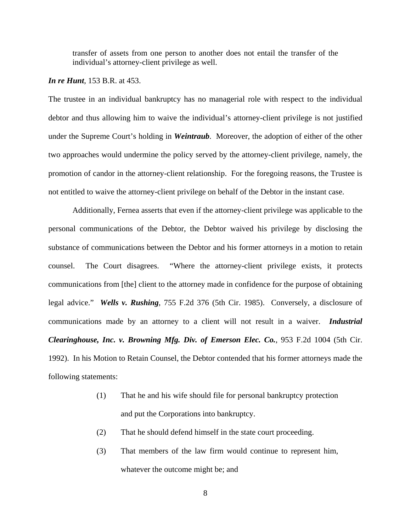transfer of assets from one person to another does not entail the transfer of the individual's attorney-client privilege as well.

#### *In re Hunt*, 153 B.R. at 453.

The trustee in an individual bankruptcy has no managerial role with respect to the individual debtor and thus allowing him to waive the individual's attorney-client privilege is not justified under the Supreme Court's holding in *Weintraub*. Moreover, the adoption of either of the other two approaches would undermine the policy served by the attorney-client privilege, namely, the promotion of candor in the attorney-client relationship. For the foregoing reasons, the Trustee is not entitled to waive the attorney-client privilege on behalf of the Debtor in the instant case.

Additionally, Fernea asserts that even if the attorney-client privilege was applicable to the personal communications of the Debtor, the Debtor waived his privilege by disclosing the substance of communications between the Debtor and his former attorneys in a motion to retain counsel. The Court disagrees. "Where the attorney-client privilege exists, it protects communications from [the] client to the attorney made in confidence for the purpose of obtaining legal advice." *Wells v. Rushing*, 755 F.2d 376 (5th Cir. 1985). Conversely, a disclosure of communications made by an attorney to a client will not result in a waiver. *Industrial Clearinghouse, Inc. v. Browning Mfg. Div. of Emerson Elec. Co.*, 953 F.2d 1004 (5th Cir. 1992). In his Motion to Retain Counsel, the Debtor contended that his former attorneys made the following statements:

- (1) That he and his wife should file for personal bankruptcy protection and put the Corporations into bankruptcy.
- (2) That he should defend himself in the state court proceeding.
- (3) That members of the law firm would continue to represent him, whatever the outcome might be; and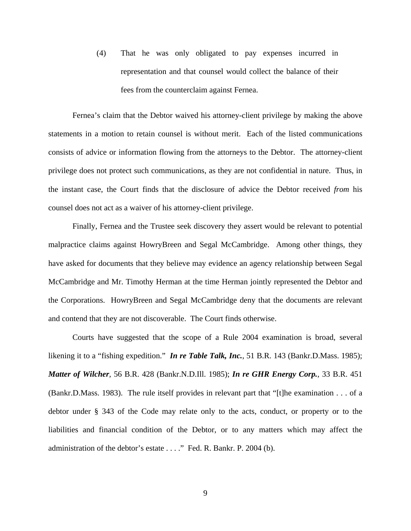(4) That he was only obligated to pay expenses incurred in representation and that counsel would collect the balance of their fees from the counterclaim against Fernea.

Fernea's claim that the Debtor waived his attorney-client privilege by making the above statements in a motion to retain counsel is without merit. Each of the listed communications consists of advice or information flowing from the attorneys to the Debtor. The attorney-client privilege does not protect such communications, as they are not confidential in nature. Thus, in the instant case, the Court finds that the disclosure of advice the Debtor received *from* his counsel does not act as a waiver of his attorney-client privilege.

 Finally, Fernea and the Trustee seek discovery they assert would be relevant to potential malpractice claims against HowryBreen and Segal McCambridge. Among other things, they have asked for documents that they believe may evidence an agency relationship between Segal McCambridge and Mr. Timothy Herman at the time Herman jointly represented the Debtor and the Corporations. HowryBreen and Segal McCambridge deny that the documents are relevant and contend that they are not discoverable. The Court finds otherwise.

Courts have suggested that the scope of a Rule 2004 examination is broad, several likening it to a "fishing expedition." *In re Table Talk, Inc.*, 51 B.R. 143 (Bankr.D.Mass. 1985); *Matter of Wilcher,* 56 B.R. 428 (Bankr.N.D.Ill. 1985); *In re GHR Energy Corp.*, 33 B.R. 451 (Bankr.D.Mass. 1983). The rule itself provides in relevant part that "[t]he examination . . . of a debtor under § 343 of the Code may relate only to the acts, conduct, or property or to the liabilities and financial condition of the Debtor, or to any matters which may affect the administration of the debtor's estate . . . ." Fed. R. Bankr. P. 2004 (b).